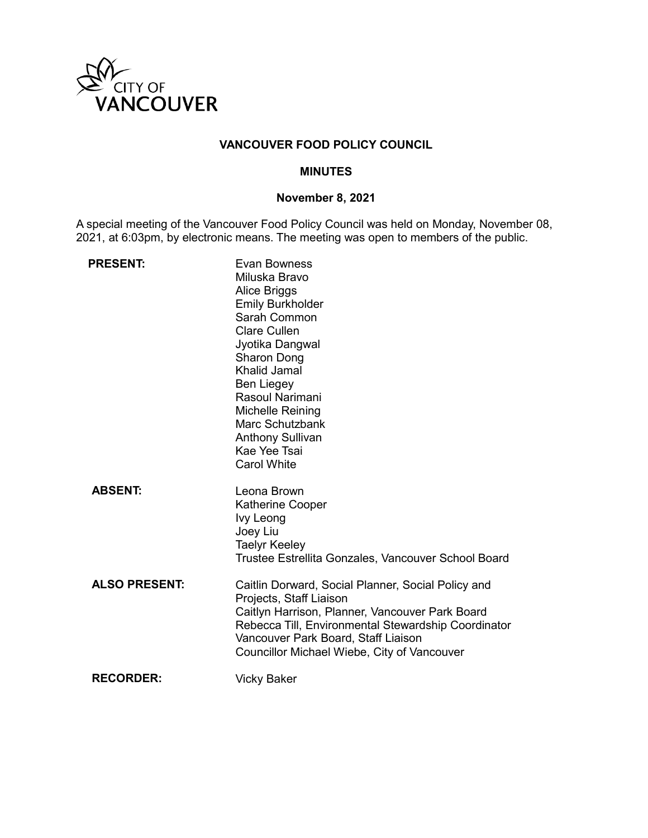

# **VANCOUVER FOOD POLICY COUNCIL**

### **MINUTES**

# **November 8, 2021**

A special meeting of the Vancouver Food Policy Council was held on Monday, November 08, 2021, at 6:03pm, by electronic means. The meeting was open to members of the public.

| <b>PRESENT:</b>      | <b>Evan Bowness</b><br>Miluska Bravo<br><b>Alice Briggs</b><br><b>Emily Burkholder</b><br>Sarah Common<br><b>Clare Cullen</b><br>Jyotika Dangwal<br>Sharon Dong<br>Khalid Jamal<br><b>Ben Liegey</b><br>Rasoul Narimani<br>Michelle Reining<br>Marc Schutzbank<br><b>Anthony Sullivan</b><br>Kae Yee Tsai<br><b>Carol White</b> |
|----------------------|---------------------------------------------------------------------------------------------------------------------------------------------------------------------------------------------------------------------------------------------------------------------------------------------------------------------------------|
| <b>ABSENT:</b>       | Leona Brown<br><b>Katherine Cooper</b><br>Ivy Leong<br>Joey Liu<br><b>Taelyr Keeley</b><br>Trustee Estrellita Gonzales, Vancouver School Board                                                                                                                                                                                  |
| <b>ALSO PRESENT:</b> | Caitlin Dorward, Social Planner, Social Policy and<br>Projects, Staff Liaison<br>Caitlyn Harrison, Planner, Vancouver Park Board<br>Rebecca Till, Environmental Stewardship Coordinator<br>Vancouver Park Board, Staff Liaison<br>Councillor Michael Wiebe, City of Vancouver                                                   |
| <b>RECORDER:</b>     | <b>Vicky Baker</b>                                                                                                                                                                                                                                                                                                              |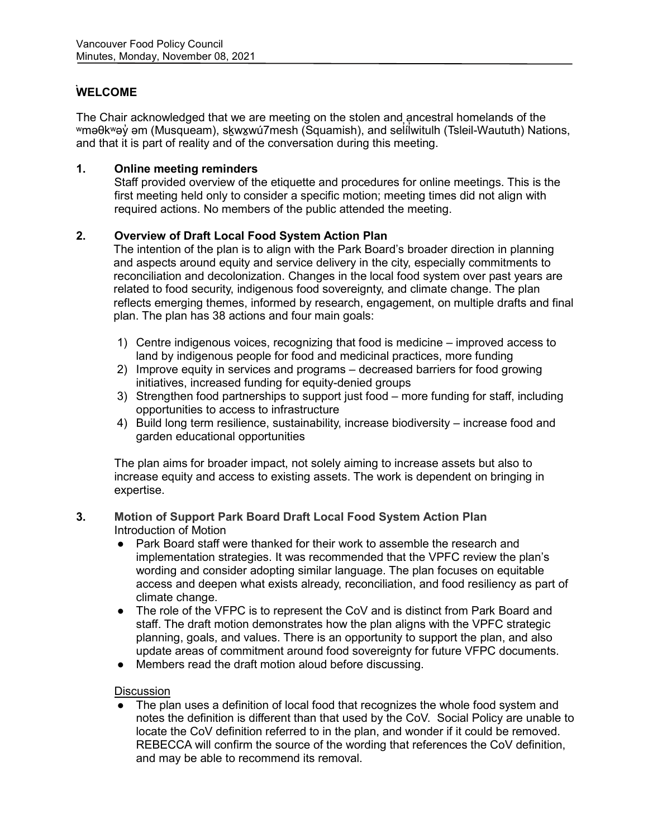# **WELCOME**

The Chair acknowledged that we are meeting on the stolen and ancestral homelands of the ʷməθkʷəy̓ əm (Musqueam), sḵwx̱wú7mesh (Squamish), and sel̓ íl̓ witulh (Tsleil-Waututh) Nations, and that it is part of reality and of the conversation during this meeting.

# **1. Online meeting reminders**

Staff provided overview of the etiquette and procedures for online meetings. This is the first meeting held only to consider a specific motion; meeting times did not align with required actions. No members of the public attended the meeting.

## **2. Overview of Draft Local Food System Action Plan**

The intention of the plan is to align with the Park Board's broader direction in planning and aspects around equity and service delivery in the city, especially commitments to reconciliation and decolonization. Changes in the local food system over past years are related to food security, indigenous food sovereignty, and climate change. The plan reflects emerging themes, informed by research, engagement, on multiple drafts and final plan. The plan has 38 actions and four main goals:

- 1) Centre indigenous voices, recognizing that food is medicine improved access to land by indigenous people for food and medicinal practices, more funding
- 2) Improve equity in services and programs decreased barriers for food growing initiatives, increased funding for equity-denied groups
- 3) Strengthen food partnerships to support just food more funding for staff, including opportunities to access to infrastructure
- 4) Build long term resilience, sustainability, increase biodiversity increase food and garden educational opportunities

The plan aims for broader impact, not solely aiming to increase assets but also to increase equity and access to existing assets. The work is dependent on bringing in expertise.

### **3. Motion of Support Park Board Draft Local Food System Action Plan** Introduction of Motion

- Park Board staff were thanked for their work to assemble the research and implementation strategies. It was recommended that the VPFC review the plan's wording and consider adopting similar language. The plan focuses on equitable access and deepen what exists already, reconciliation, and food resiliency as part of climate change.
- The role of the VFPC is to represent the CoV and is distinct from Park Board and staff. The draft motion demonstrates how the plan aligns with the VPFC strategic planning, goals, and values. There is an opportunity to support the plan, and also update areas of commitment around food sovereignty for future VFPC documents.
- Members read the draft motion aloud before discussing.

### **Discussion**

● The plan uses a definition of local food that recognizes the whole food system and notes the definition is different than that used by the CoV. Social Policy are unable to locate the CoV definition referred to in the plan, and wonder if it could be removed. REBECCA will confirm the source of the wording that references the CoV definition, and may be able to recommend its removal.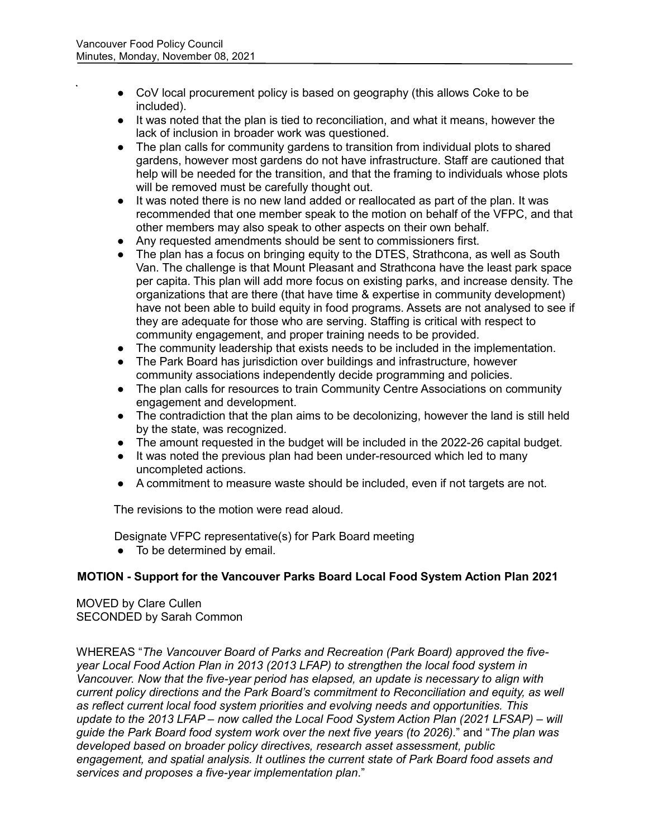- CoV local procurement policy is based on geography (this allows Coke to be included).
- It was noted that the plan is tied to reconciliation, and what it means, however the lack of inclusion in broader work was questioned.
- The plan calls for community gardens to transition from individual plots to shared gardens, however most gardens do not have infrastructure. Staff are cautioned that help will be needed for the transition, and that the framing to individuals whose plots will be removed must be carefully thought out.
- It was noted there is no new land added or reallocated as part of the plan. It was recommended that one member speak to the motion on behalf of the VFPC, and that other members may also speak to other aspects on their own behalf.
- Any requested amendments should be sent to commissioners first.
- The plan has a focus on bringing equity to the DTES, Strathcona, as well as South Van. The challenge is that Mount Pleasant and Strathcona have the least park space per capita. This plan will add more focus on existing parks, and increase density. The organizations that are there (that have time & expertise in community development) have not been able to build equity in food programs. Assets are not analysed to see if they are adequate for those who are serving. Staffing is critical with respect to community engagement, and proper training needs to be provided.
- The community leadership that exists needs to be included in the implementation.
- The Park Board has jurisdiction over buildings and infrastructure, however community associations independently decide programming and policies.
- The plan calls for resources to train Community Centre Associations on community engagement and development.
- The contradiction that the plan aims to be decolonizing, however the land is still held by the state, was recognized.
- The amount requested in the budget will be included in the 2022-26 capital budget.
- It was noted the previous plan had been under-resourced which led to many uncompleted actions.
- A commitment to measure waste should be included, even if not targets are not.

The revisions to the motion were read aloud.

Designate VFPC representative(s) for Park Board meeting

● To be determined by email.

## **MOTION - Support for the Vancouver Parks Board Local Food System Action Plan 2021**

MOVED by Clare Cullen SECONDED by Sarah Common

WHEREAS "*The Vancouver Board of Parks and Recreation (Park Board) approved the fiveyear Local Food Action Plan in 2013 (2013 LFAP) to strengthen the local food system in Vancouver. Now that the five-year period has elapsed, an update is necessary to align with current policy directions and the Park Board's commitment to Reconciliation and equity, as well as reflect current local food system priorities and evolving needs and opportunities. This update to the 2013 LFAP – now called the Local Food System Action Plan (2021 LFSAP) – will guide the Park Board food system work over the next five years (to 2026).*" and "*The plan was developed based on broader policy directives, research asset assessment, public engagement, and spatial analysis. It outlines the current state of Park Board food assets and services and proposes a five-year implementation plan*."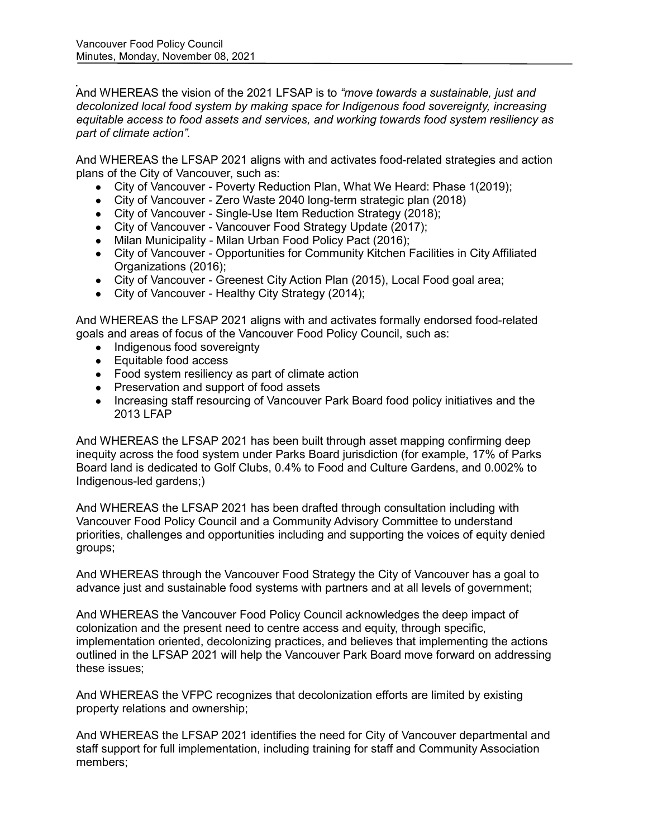And WHEREAS the vision of the 2021 LFSAP is to *"move towards a sustainable, just and decolonized local food system by making space for Indigenous food sovereignty, increasing equitable access to food assets and services, and working towards food system resiliency as part of climate action".*

And WHEREAS the LFSAP 2021 aligns with and activates food-related strategies and action plans of the City of Vancouver, such as:

- City of Vancouver Poverty Reduction Plan, What We Heard: Phase 1(2019);
- City of Vancouver Zero Waste 2040 long-term strategic plan (2018)
- City of Vancouver Single-Use Item Reduction Strategy (2018);
- City of Vancouver Vancouver Food Strategy Update (2017);
- Milan Municipality Milan Urban Food Policy Pact (2016);
- City of Vancouver Opportunities for Community Kitchen Facilities in City Affiliated Organizations (2016);
- City of Vancouver Greenest City Action Plan (2015), Local Food goal area;
- City of Vancouver Healthy City Strategy (2014);

And WHEREAS the LFSAP 2021 aligns with and activates formally endorsed food-related goals and areas of focus of the Vancouver Food Policy Council, such as:

- Indigenous food sovereignty
- Equitable food access
- Food system resiliency as part of climate action
- Preservation and support of food assets
- Increasing staff resourcing of Vancouver Park Board food policy initiatives and the 2013 LFAP

And WHEREAS the LFSAP 2021 has been built through asset mapping confirming deep inequity across the food system under Parks Board jurisdiction (for example, 17% of Parks Board land is dedicated to Golf Clubs, 0.4% to Food and Culture Gardens, and 0.002% to Indigenous-led gardens;)

And WHEREAS the LFSAP 2021 has been drafted through consultation including with Vancouver Food Policy Council and a Community Advisory Committee to understand priorities, challenges and opportunities including and supporting the voices of equity denied groups;

And WHEREAS through the Vancouver Food Strategy the City of Vancouver has a goal to advance just and sustainable food systems with partners and at all levels of government;

And WHEREAS the Vancouver Food Policy Council acknowledges the deep impact of colonization and the present need to centre access and equity, through specific, implementation oriented, decolonizing practices, and believes that implementing the actions outlined in the LFSAP 2021 will help the Vancouver Park Board move forward on addressing these issues;

And WHEREAS the VFPC recognizes that decolonization efforts are limited by existing property relations and ownership;

And WHEREAS the LFSAP 2021 identifies the need for City of Vancouver departmental and staff support for full implementation, including training for staff and Community Association members;